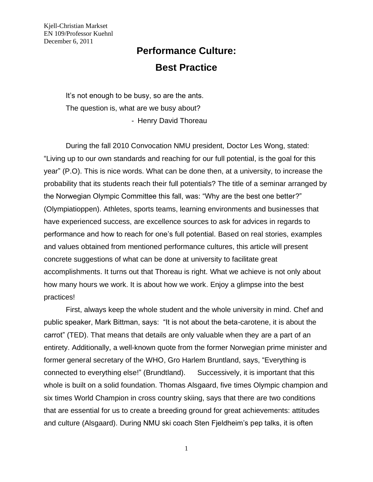# **Performance Culture: Best Practice**

It's not enough to be busy, so are the ants. The question is, what are we busy about? - Henry David Thoreau

During the fall 2010 Convocation NMU president, Doctor Les Wong, stated: "Living up to our own standards and reaching for our full potential, is the goal for this year" (P.O). This is nice words. What can be done then, at a university, to increase the probability that its students reach their full potentials? The title of a seminar arranged by the Norwegian Olympic Committee this fall, was: "Why are the best one better?" (Olympiatioppen). Athletes, sports teams, learning environments and businesses that have experienced success, are excellence sources to ask for advices in regards to performance and how to reach for one's full potential. Based on real stories, examples and values obtained from mentioned performance cultures, this article will present concrete suggestions of what can be done at university to facilitate great accomplishments. It turns out that Thoreau is right. What we achieve is not only about how many hours we work. It is about how we work. Enjoy a glimpse into the best practices!

First, always keep the whole student and the whole university in mind. Chef and public speaker, Mark Bittman, says: "It is not about the beta-carotene, it is about the carrot" (TED). That means that details are only valuable when they are a part of an entirety. Additionally, a well-known quote from the former Norwegian prime minister and former general secretary of the WHO, Gro Harlem Bruntland, says, "Everything is connected to everything else!" (Brundtland). Successively, it is important that this whole is built on a solid foundation. Thomas Alsgaard, five times Olympic champion and six times World Champion in cross country skiing, says that there are two conditions that are essential for us to create a breeding ground for great achievements: attitudes and culture (Alsgaard). During NMU ski coach Sten Fjeldheim's pep talks, it is often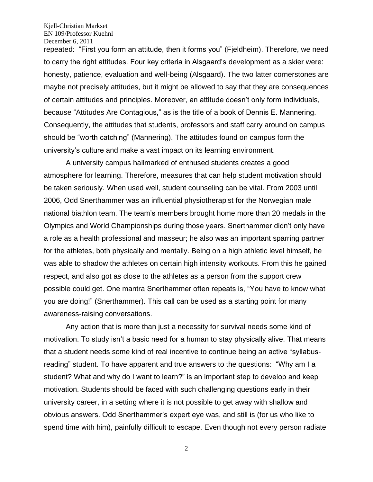repeated: "First you form an attitude, then it forms you" (Fjeldheim). Therefore, we need to carry the right attitudes. Four key criteria in Alsgaard's development as a skier were: honesty, patience, evaluation and well-being (Alsgaard). The two latter cornerstones are maybe not precisely attitudes, but it might be allowed to say that they are consequences of certain attitudes and principles. Moreover, an attitude doesn't only form individuals, because "Attitudes Are Contagious," as is the title of a book of Dennis E. Mannering. Consequently, the attitudes that students, professors and staff carry around on campus should be "worth catching" (Mannering). The attitudes found on campus form the university's culture and make a vast impact on its learning environment.

A university campus hallmarked of enthused students creates a good atmosphere for learning. Therefore, measures that can help student motivation should be taken seriously. When used well, student counseling can be vital. From 2003 until 2006, Odd Snerthammer was an influential physiotherapist for the Norwegian male national biathlon team. The team's members brought home more than 20 medals in the Olympics and World Championships during those years. Snerthammer didn't only have a role as a health professional and masseur; he also was an important sparring partner for the athletes, both physically and mentally. Being on a high athletic level himself, he was able to shadow the athletes on certain high intensity workouts. From this he gained respect, and also got as close to the athletes as a person from the support crew possible could get. One mantra Snerthammer often repeats is, "You have to know what you are doing!" (Snerthammer). This call can be used as a starting point for many awareness-raising conversations.

Any action that is more than just a necessity for survival needs some kind of motivation. To study isn't a basic need for a human to stay physically alive. That means that a student needs some kind of real incentive to continue being an active "syllabusreading" student. To have apparent and true answers to the questions: "Why am I a student? What and why do I want to learn?" is an important step to develop and keep motivation. Students should be faced with such challenging questions early in their university career, in a setting where it is not possible to get away with shallow and obvious answers. Odd Snerthammer's expert eye was, and still is (for us who like to spend time with him), painfully difficult to escape. Even though not every person radiate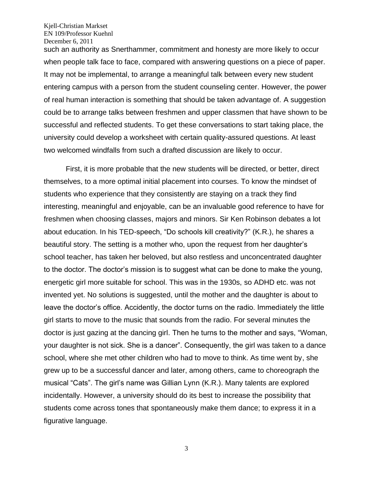such an authority as Snerthammer, commitment and honesty are more likely to occur when people talk face to face, compared with answering questions on a piece of paper. It may not be implemental, to arrange a meaningful talk between every new student entering campus with a person from the student counseling center. However, the power of real human interaction is something that should be taken advantage of. A suggestion could be to arrange talks between freshmen and upper classmen that have shown to be successful and reflected students. To get these conversations to start taking place, the university could develop a worksheet with certain quality-assured questions. At least two welcomed windfalls from such a drafted discussion are likely to occur.

First, it is more probable that the new students will be directed, or better, direct themselves, to a more optimal initial placement into courses. To know the mindset of students who experience that they consistently are staying on a track they find interesting, meaningful and enjoyable, can be an invaluable good reference to have for freshmen when choosing classes, majors and minors. Sir Ken Robinson debates a lot about education. In his TED-speech, "Do schools kill creativity?" (K.R.), he shares a beautiful story. The setting is a mother who, upon the request from her daughter's school teacher, has taken her beloved, but also restless and unconcentrated daughter to the doctor. The doctor's mission is to suggest what can be done to make the young, energetic girl more suitable for school. This was in the 1930s, so ADHD etc. was not invented yet. No solutions is suggested, until the mother and the daughter is about to leave the doctor's office. Accidently, the doctor turns on the radio. Immediately the little girl starts to move to the music that sounds from the radio. For several minutes the doctor is just gazing at the dancing girl. Then he turns to the mother and says, "Woman, your daughter is not sick. She is a dancer". Consequently, the girl was taken to a dance school, where she met other children who had to move to think. As time went by, she grew up to be a successful dancer and later, among others, came to choreograph the musical "Cats". The girl's name was Gillian Lynn (K.R.). Many talents are explored incidentally. However, a university should do its best to increase the possibility that students come across tones that spontaneously make them dance; to express it in a figurative language.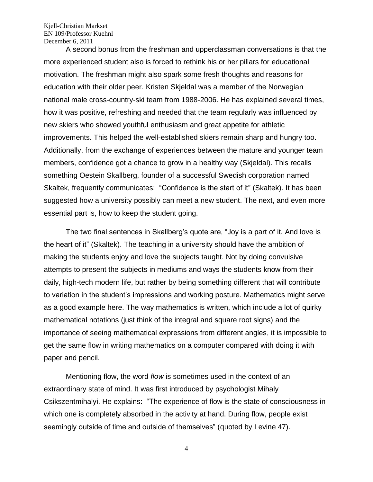A second bonus from the freshman and upperclassman conversations is that the more experienced student also is forced to rethink his or her pillars for educational motivation. The freshman might also spark some fresh thoughts and reasons for education with their older peer. Kristen Skjeldal was a member of the Norwegian national male cross-country-ski team from 1988-2006. He has explained several times, how it was positive, refreshing and needed that the team regularly was influenced by new skiers who showed youthful enthusiasm and great appetite for athletic improvements. This helped the well-established skiers remain sharp and hungry too. Additionally, from the exchange of experiences between the mature and younger team members, confidence got a chance to grow in a healthy way (Skjeldal). This recalls something Oestein Skallberg, founder of a successful Swedish corporation named Skaltek, frequently communicates: "Confidence is the start of it" (Skaltek). It has been suggested how a university possibly can meet a new student. The next, and even more essential part is, how to keep the student going.

The two final sentences in Skallberg's quote are, "Joy is a part of it. And love is the heart of it" (Skaltek). The teaching in a university should have the ambition of making the students enjoy and love the subjects taught. Not by doing convulsive attempts to present the subjects in mediums and ways the students know from their daily, high-tech modern life, but rather by being something different that will contribute to variation in the student's impressions and working posture. Mathematics might serve as a good example here. The way mathematics is written, which include a lot of quirky mathematical notations (just think of the integral and square root signs) and the importance of seeing mathematical expressions from different angles, it is impossible to get the same flow in writing mathematics on a computer compared with doing it with paper and pencil.

Mentioning flow, the word *flow* is sometimes used in the context of an extraordinary state of mind. It was first introduced by psychologist Mihaly Csikszentmihalyi. He explains: "The experience of flow is the state of consciousness in which one is completely absorbed in the activity at hand. During flow, people exist seemingly outside of time and outside of themselves" (quoted by Levine 47).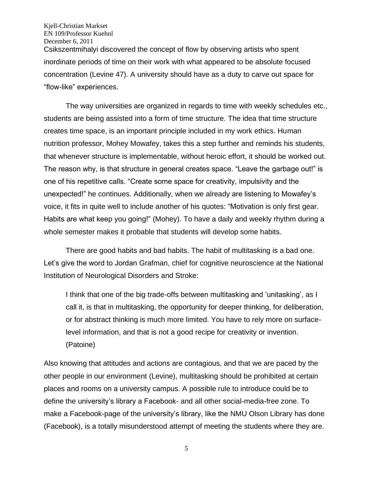Kjell-Christian Markset EN 109/Professor Kuehnl December 6, 2011 Csikszentmihalyi discovered the concept of flow by observing artists who spent inordinate periods of time on their work with what appeared to be absolute focused concentration (Levine 47). A university should have as a duty to carve out space for "flow-like" experiences.

The way universities are organized in regards to time with weekly schedules etc., students are being assisted into a form of time structure. The idea that time structure creates time space, is an important principle included in my work ethics. Human nutrition professor, Mohey Mowafey, takes this a step further and reminds his students, that whenever structure is implementable, without heroic effort, it should be worked out. The reason why, is that structure in general creates space. "Leave the garbage out!" is one of his repetitive calls. "Create some space for creativity, impulsivity and the unexpected!" he continues. Additionally, when we already are listening to Mowafey's voice, it fits in quite well to include another of his quotes: "Motivation is only first gear. Habits are what keep you going!" (Mohey). To have a daily and weekly rhythm during a whole semester makes it probable that students will develop some habits.

There are good habits and bad habits. The habit of multitasking is a bad one. Let's give the word to Jordan Grafman, chief for cognitive neuroscience at the National Institution of Neurological Disorders and Stroke:

I think that one of the big trade-offs between multitasking and 'unitasking', as I call it, is that in multitasking, the opportunity for deeper thinking, for deliberation, or for abstract thinking is much more limited. You have to rely more on surfacelevel information, and that is not a good recipe for creativity or invention. (Patoine)

Also knowing that attitudes and actions are contagious, and that we are paced by the other people in our environment (Levine), multitasking should be prohibited at certain places and rooms on a university campus. A possible rule to introduce could be to define the university's library a Facebook- and all other social-media-free zone. To make a Facebook-page of the university's library, like the NMU Olson Library has done (Facebook), is a totally misunderstood attempt of meeting the students where they are.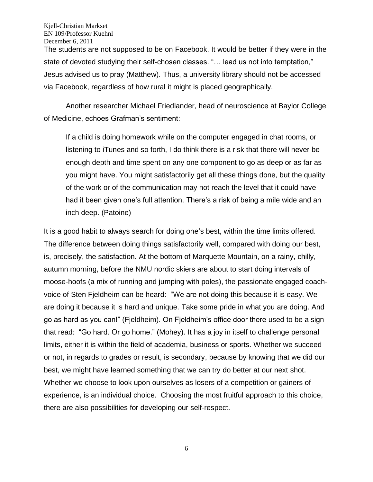The students are not supposed to be on Facebook. It would be better if they were in the state of devoted studying their self-chosen classes. "… lead us not into temptation," Jesus advised us to pray (Matthew). Thus, a university library should not be accessed via Facebook, regardless of how rural it might is placed geographically.

Another researcher Michael Friedlander, head of neuroscience at Baylor College of Medicine, echoes Grafman's sentiment:

If a child is doing homework while on the computer engaged in chat rooms, or listening to iTunes and so forth, I do think there is a risk that there will never be enough depth and time spent on any one component to go as deep or as far as you might have. You might satisfactorily get all these things done, but the quality of the work or of the communication may not reach the level that it could have had it been given one's full attention. There's a risk of being a mile wide and an inch deep. (Patoine)

It is a good habit to always search for doing one's best, within the time limits offered. The difference between doing things satisfactorily well, compared with doing our best, is, precisely, the satisfaction. At the bottom of Marquette Mountain, on a rainy, chilly, autumn morning, before the NMU nordic skiers are about to start doing intervals of moose-hoofs (a mix of running and jumping with poles), the passionate engaged coachvoice of Sten Fjeldheim can be heard: "We are not doing this because it is easy. We are doing it because it is hard and unique. Take some pride in what you are doing. And go as hard as you can!" (Fjeldheim). On Fjeldheim's office door there used to be a sign that read: "Go hard. Or go home." (Mohey). It has a joy in itself to challenge personal limits, either it is within the field of academia, business or sports. Whether we succeed or not, in regards to grades or result, is secondary, because by knowing that we did our best, we might have learned something that we can try do better at our next shot. Whether we choose to look upon ourselves as losers of a competition or gainers of experience, is an individual choice. Choosing the most fruitful approach to this choice, there are also possibilities for developing our self-respect.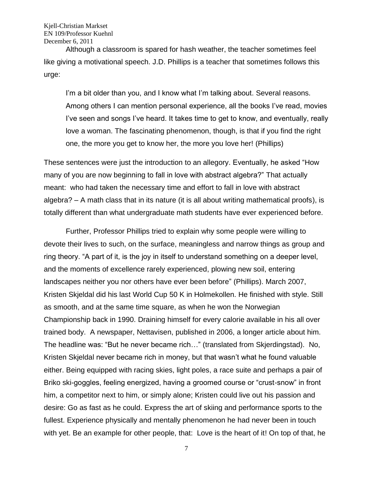Although a classroom is spared for hash weather, the teacher sometimes feel like giving a motivational speech. J.D. Phillips is a teacher that sometimes follows this urge:

I'm a bit older than you, and I know what I'm talking about. Several reasons. Among others I can mention personal experience, all the books I've read, movies I've seen and songs I've heard. It takes time to get to know, and eventually, really love a woman. The fascinating phenomenon, though, is that if you find the right one, the more you get to know her, the more you love her! (Phillips)

These sentences were just the introduction to an allegory. Eventually, he asked "How many of you are now beginning to fall in love with abstract algebra?" That actually meant: who had taken the necessary time and effort to fall in love with abstract algebra? – A math class that in its nature (it is all about writing mathematical proofs), is totally different than what undergraduate math students have ever experienced before.

Further, Professor Phillips tried to explain why some people were willing to devote their lives to such, on the surface, meaningless and narrow things as group and ring theory. "A part of it, is the joy in itself to understand something on a deeper level, and the moments of excellence rarely experienced, plowing new soil, entering landscapes neither you nor others have ever been before" (Phillips). March 2007, Kristen Skjeldal did his last World Cup 50 K in Holmekollen. He finished with style. Still as smooth, and at the same time square, as when he won the Norwegian Championship back in 1990. Draining himself for every calorie available in his all over trained body. A newspaper, Nettavisen, published in 2006, a longer article about him. The headline was: "But he never became rich…" (translated from Skjerdingstad). No, Kristen Skjeldal never became rich in money, but that wasn't what he found valuable either. Being equipped with racing skies, light poles, a race suite and perhaps a pair of Briko ski-goggles, feeling energized, having a groomed course or "crust-snow" in front him, a competitor next to him, or simply alone; Kristen could live out his passion and desire: Go as fast as he could. Express the art of skiing and performance sports to the fullest. Experience physically and mentally phenomenon he had never been in touch with yet. Be an example for other people, that: Love is the heart of it! On top of that, he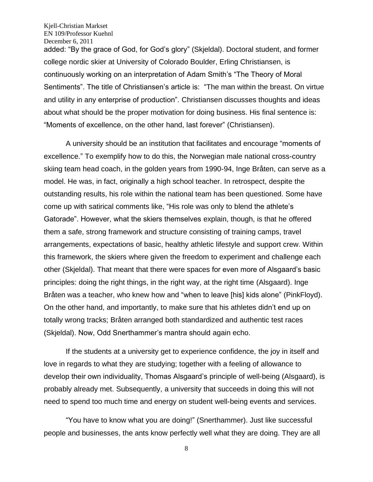added: "By the grace of God, for God's glory" (Skjeldal). Doctoral student, and former college nordic skier at University of Colorado Boulder, Erling Christiansen, is continuously working on an interpretation of Adam Smith's "The Theory of Moral Sentiments". The title of Christiansen's article is: "The man within the breast. On virtue and utility in any enterprise of production". Christiansen discusses thoughts and ideas about what should be the proper motivation for doing business. His final sentence is: "Moments of excellence, on the other hand, last forever" (Christiansen).

A university should be an institution that facilitates and encourage "moments of excellence." To exemplify how to do this, the Norwegian male national cross-country skiing team head coach, in the golden years from 1990-94, Inge Bråten, can serve as a model. He was, in fact, originally a high school teacher. In retrospect, despite the outstanding results, his role within the national team has been questioned. Some have come up with satirical comments like, "His role was only to blend the athlete's Gatorade". However, what the skiers themselves explain, though, is that he offered them a safe, strong framework and structure consisting of training camps, travel arrangements, expectations of basic, healthy athletic lifestyle and support crew. Within this framework, the skiers where given the freedom to experiment and challenge each other (Skjeldal). That meant that there were spaces for even more of Alsgaard's basic principles: doing the right things, in the right way, at the right time (Alsgaard). Inge Bråten was a teacher, who knew how and "when to leave [his] kids alone" (PinkFloyd). On the other hand, and importantly, to make sure that his athletes didn't end up on totally wrong tracks; Bråten arranged both standardized and authentic test races (Skjeldal). Now, Odd Snerthammer's mantra should again echo.

If the students at a university get to experience confidence, the joy in itself and love in regards to what they are studying; together with a feeling of allowance to develop their own individuality, Thomas Alsgaard's principle of well-being (Alsgaard), is probably already met. Subsequently, a university that succeeds in doing this will not need to spend too much time and energy on student well-being events and services.

"You have to know what you are doing!" (Snerthammer). Just like successful people and businesses, the ants know perfectly well what they are doing. They are all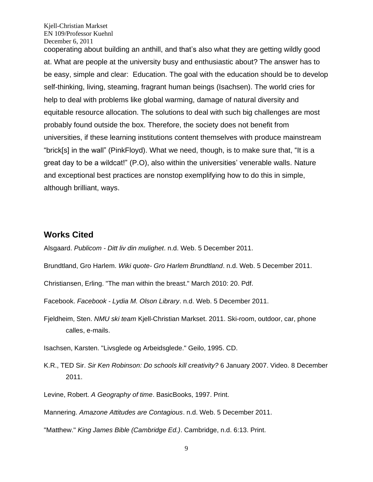cooperating about building an anthill, and that's also what they are getting wildly good at. What are people at the university busy and enthusiastic about? The answer has to be easy, simple and clear: Education. The goal with the education should be to develop self-thinking, living, steaming, fragrant human beings (Isachsen). The world cries for help to deal with problems like global warming, damage of natural diversity and equitable resource allocation. The solutions to deal with such big challenges are most probably found outside the box. Therefore, the society does not benefit from universities, if these learning institutions content themselves with produce mainstream "brick[s] in the wall" (PinkFloyd). What we need, though, is to make sure that, "It is a great day to be a wildcat!" (P.O), also within the universities' venerable walls. Nature and exceptional best practices are nonstop exemplifying how to do this in simple, although brilliant, ways.

# **Works Cited**

Alsgaard. *Publicom - Ditt liv din mulighet*. n.d. Web. 5 December 2011.

Brundtland, Gro Harlem. *Wiki quote- Gro Harlem Brundtland*. n.d. Web. 5 December 2011.

Christiansen, Erling. "The man within the breast." March 2010: 20. Pdf.

Facebook. *Facebook - Lydia M. Olson Library*. n.d. Web. 5 December 2011.

Fjeldheim, Sten. *NMU ski team* Kjell-Christian Markset. 2011. Ski-room, outdoor, car, phone calles, e-mails.

Isachsen, Karsten. "Livsglede og Arbeidsglede." Geilo, 1995. CD.

K.R., TED Sir. *Sir Ken Robinson: Do schools kill creativity?* 6 January 2007. Video. 8 December 2011.

Levine, Robert. *A Geography of time*. BasicBooks, 1997. Print.

Mannering. *Amazone Attitudes are Contagious*. n.d. Web. 5 December 2011.

"Matthew." *King James Bible (Cambridge Ed.)*. Cambridge, n.d. 6:13. Print.